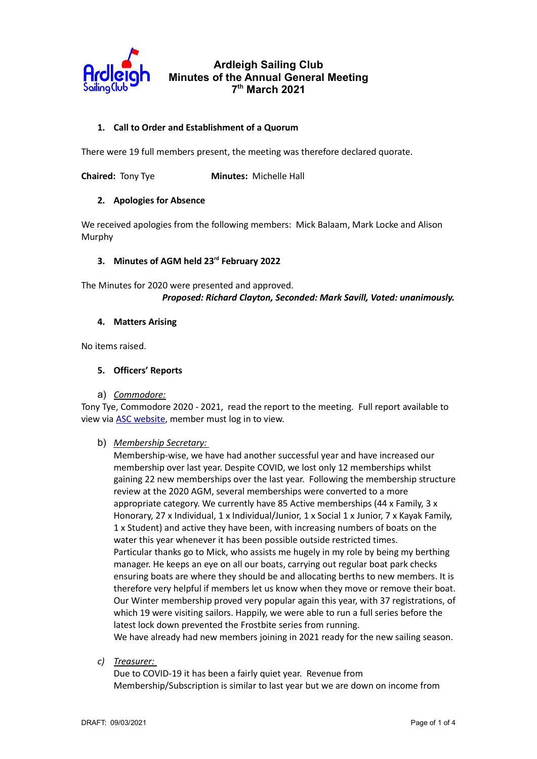

### 1. Call to Order and Establishment of a Quorum

There were 19 full members present, the meeting was therefore declared quorate.

**Chaired:** Tony Tye **Minutes:** Michelle Hall

#### 2. Apologies for Absence

We received apologies from the following members: Mick Balaam, Mark Locke and Alison Murphy

#### 3. Minutes of AGM held 23<sup>rd</sup> February 2022

The Minutes for 2020 were presented and approved. Proposed: Richard Clayton, Seconded: Mark Savill, Voted: unanimously.

#### 4. Matters Arising

No items raised.

#### 5. Officers' Reports

a) Commodore:

Tony Tye, Commodore 2020 - 2021, read the report to the meeting. Full report available to view via ASC website, member must log in to view.

#### b) Membership Secretary:

Membership-wise, we have had another successful year and have increased our membership over last year. Despite COVID, we lost only 12 memberships whilst gaining 22 new memberships over the last year. Following the membership structure review at the 2020 AGM, several memberships were converted to a more appropriate category. We currently have 85 Active memberships (44 x Family, 3 x Honorary, 27 x Individual, 1 x Individual/Junior, 1 x Social 1 x Junior, 7 x Kayak Family, 1 x Student) and active they have been, with increasing numbers of boats on the water this year whenever it has been possible outside restricted times. Particular thanks go to Mick, who assists me hugely in my role by being my berthing manager. He keeps an eye on all our boats, carrying out regular boat park checks ensuring boats are where they should be and allocating berths to new members. It is therefore very helpful if members let us know when they move or remove their boat. Our Winter membership proved very popular again this year, with 37 registrations, of which 19 were visiting sailors. Happily, we were able to run a full series before the latest lock down prevented the Frostbite series from running. We have already had new members joining in 2021 ready for the new sailing season.

c) Treasurer:

Due to COVID-19 it has been a fairly quiet year. Revenue from Membership/Subscription is similar to last year but we are down on income from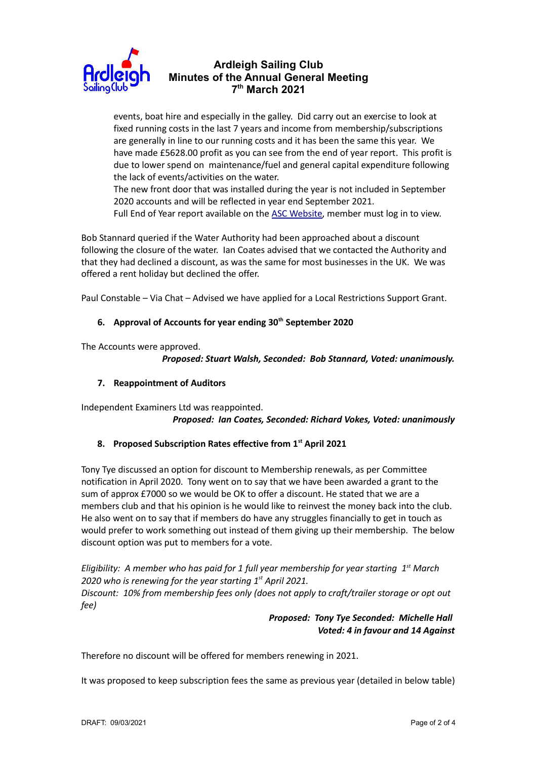

events, boat hire and especially in the galley. Did carry out an exercise to look at fixed running costs in the last 7 years and income from membership/subscriptions are generally in line to our running costs and it has been the same this year. We have made £5628.00 profit as you can see from the end of year report. This profit is due to lower spend on maintenance/fuel and general capital expenditure following the lack of events/activities on the water.

The new front door that was installed during the year is not included in September 2020 accounts and will be reflected in year end September 2021.

Full End of Year report available on the ASC Website, member must log in to view.

Bob Stannard queried if the Water Authority had been approached about a discount following the closure of the water. Ian Coates advised that we contacted the Authority and that they had declined a discount, as was the same for most businesses in the UK. We was offered a rent holiday but declined the offer.

Paul Constable – Via Chat – Advised we have applied for a Local Restrictions Support Grant.

### 6. Approval of Accounts for year ending  $30<sup>th</sup>$  September 2020

The Accounts were approved.

Proposed: Stuart Walsh, Seconded: Bob Stannard, Voted: unanimously.

### 7. Reappointment of Auditors

Independent Examiners Ltd was reappointed.

Proposed: Ian Coates, Seconded: Richard Vokes, Voted: unanimously

#### 8. Proposed Subscription Rates effective from 1<sup>st</sup> April 2021

Tony Tye discussed an option for discount to Membership renewals, as per Committee notification in April 2020. Tony went on to say that we have been awarded a grant to the sum of approx £7000 so we would be OK to offer a discount. He stated that we are a members club and that his opinion is he would like to reinvest the money back into the club. He also went on to say that if members do have any struggles financially to get in touch as would prefer to work something out instead of them giving up their membership. The below discount option was put to members for a vote.

Eligibility: A member who has paid for 1 full year membership for year starting  $1<sup>st</sup>$  March 2020 who is renewing for the year starting  $1<sup>st</sup>$  April 2021. Discount: 10% from membership fees only (does not apply to craft/trailer storage or opt out fee)

### Proposed: Tony Tye Seconded: Michelle Hall Voted: 4 in favour and 14 Against

Therefore no discount will be offered for members renewing in 2021.

It was proposed to keep subscription fees the same as previous year (detailed in below table)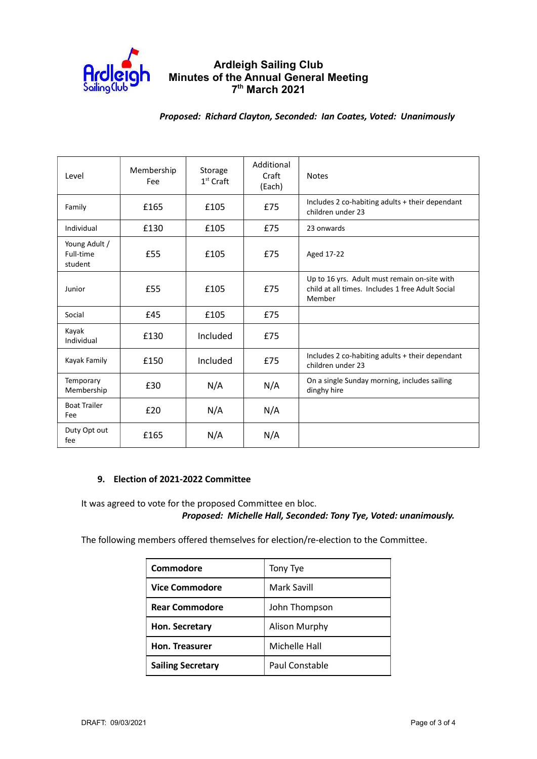

### Proposed: Richard Clayton, Seconded: Ian Coates, Voted: Unanimously

| Level                                 | Membership<br>Fee | Storage<br>$1st$ Craft | Additional<br>Craft<br>(Each) | <b>Notes</b>                                                                                               |
|---------------------------------------|-------------------|------------------------|-------------------------------|------------------------------------------------------------------------------------------------------------|
| Family                                | £165              | £105                   | £75                           | Includes 2 co-habiting adults + their dependant<br>children under 23                                       |
| Individual                            | £130              | £105                   | £75                           | 23 onwards                                                                                                 |
| Young Adult /<br>Full-time<br>student | £55               | £105                   | £75                           | Aged 17-22                                                                                                 |
| Junior                                | £55               | £105                   | £75                           | Up to 16 yrs. Adult must remain on-site with<br>child at all times. Includes 1 free Adult Social<br>Member |
| Social                                | £45               | £105                   | £75                           |                                                                                                            |
| Kayak<br>Individual                   | £130              | Included               | £75                           |                                                                                                            |
| Kayak Family                          | £150              | Included               | £75                           | Includes 2 co-habiting adults + their dependant<br>children under 23                                       |
| Temporary<br>Membership               | £30               | N/A                    | N/A                           | On a single Sunday morning, includes sailing<br>dinghy hire                                                |
| <b>Boat Trailer</b><br>Fee            | £20               | N/A                    | N/A                           |                                                                                                            |
| Duty Opt out<br>fee                   | £165              | N/A                    | N/A                           |                                                                                                            |

### 9. Election of 2021-2022 Committee

It was agreed to vote for the proposed Committee en bloc. Proposed: Michelle Hall, Seconded: Tony Tye, Voted: unanimously.

The following members offered themselves for election/re-election to the Committee.

| Commodore                | Tony Tye       |  |
|--------------------------|----------------|--|
| <b>Vice Commodore</b>    | Mark Savill    |  |
| <b>Rear Commodore</b>    | John Thompson  |  |
| Hon. Secretary           | Alison Murphy  |  |
| Hon. Treasurer           | Michelle Hall  |  |
| <b>Sailing Secretary</b> | Paul Constable |  |